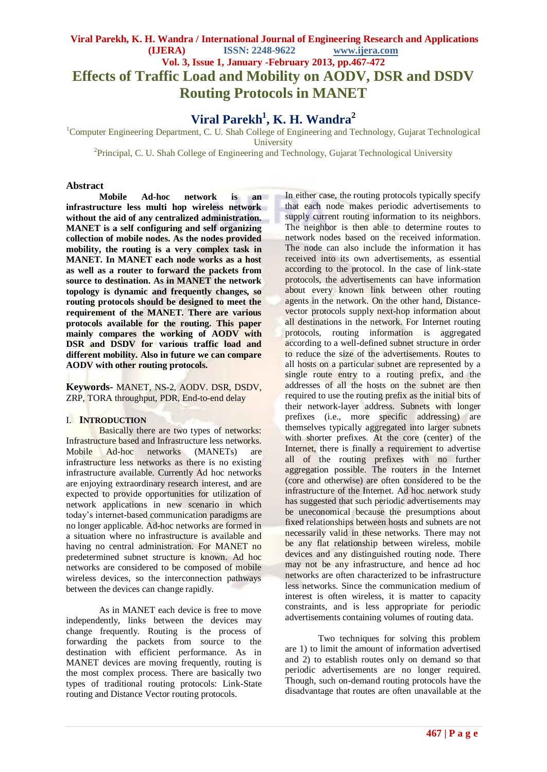# **Viral Parekh, K. H. Wandra / International Journal of Engineering Research and Applications (IJERA) ISSN: 2248-9622 www.ijera.com Vol. 3, Issue 1, January -February 2013, pp.467-472 Effects of Traffic Load and Mobility on AODV, DSR and DSDV Routing Protocols in MANET**

# **Viral Parekh<sup>1</sup> , K. H. Wandra<sup>2</sup>**

<sup>1</sup>Computer Engineering Department, C. U. Shah College of Engineering and Technology, Gujarat Technological **University** 

<sup>2</sup>Principal, C. U. Shah College of Engineering and Technology, Gujarat Technological University

# **Abstract**

**Mobile Ad-hoc network is an infrastructure less multi hop wireless network without the aid of any centralized administration. MANET is a self configuring and self organizing collection of mobile nodes. As the nodes provided mobility, the routing is a very complex task in MANET. In MANET each node works as a host as well as a router to forward the packets from source to destination. As in MANET the network topology is dynamic and frequently changes, so routing protocols should be designed to meet the requirement of the MANET. There are various protocols available for the routing. This paper mainly compares the working of AODV with DSR and DSDV for various traffic load and different mobility. Also in future we can compare AODV with other routing protocols.**

**Keywords-** MANET, NS-2, AODV. DSR, DSDV, ZRP, TORA throughput, PDR, End-to-end delay

# I. **INTRODUCTION**

Basically there are two types of networks: Infrastructure based and Infrastructure less networks. Mobile Ad-hoc networks (MANETs) are infrastructure less networks as there is no existing infrastructure available. Currently Ad hoc networks are enjoying extraordinary research interest, and are expected to provide opportunities for utilization of network applications in new scenario in which today's internet-based communication paradigms are no longer applicable. Ad-hoc networks are formed in a situation where no infrastructure is available and having no central administration. For MANET no predetermined subnet structure is known. Ad hoc networks are considered to be composed of mobile wireless devices, so the interconnection pathways between the devices can change rapidly.

As in MANET each device is free to move independently, links between the devices may change frequently. Routing is the process of forwarding the packets from source to the destination with efficient performance. As in MANET devices are moving frequently, routing is the most complex process. There are basically two types of traditional routing protocols: Link-State routing and Distance Vector routing protocols.

In either case, the routing protocols typically specify that each node makes periodic advertisements to supply current routing information to its neighbors. The neighbor is then able to determine routes to network nodes based on the received information. The node can also include the information it has received into its own advertisements, as essential according to the protocol. In the case of link-state protocols, the advertisements can have information about every known link between other routing agents in the network. On the other hand, Distancevector protocols supply next-hop information about all destinations in the network. For Internet routing protocols, routing information is aggregated according to a well-defined subnet structure in order to reduce the size of the advertisements. Routes to all hosts on a particular subnet are represented by a single route entry to a routing prefix, and the addresses of all the hosts on the subnet are then required to use the routing prefix as the initial bits of their network-layer address. Subnets with longer prefixes (i.e., more specific addressing) are themselves typically aggregated into larger subnets with shorter prefixes. At the core (center) of the Internet, there is finally a requirement to advertise all of the routing prefixes with no further aggregation possible. The routers in the Internet (core and otherwise) are often considered to be the infrastructure of the Internet. Ad hoc network study has suggested that such periodic advertisements may be uneconomical because the presumptions about fixed relationships between hosts and subnets are not necessarily valid in these networks. There may not be any flat relationship between wireless, mobile devices and any distinguished routing node. There may not be any infrastructure, and hence ad hoc networks are often characterized to be infrastructure less networks. Since the communication medium of interest is often wireless, it is matter to capacity constraints, and is less appropriate for periodic advertisements containing volumes of routing data.

Two techniques for solving this problem are 1) to limit the amount of information advertised and 2) to establish routes only on demand so that periodic advertisements are no longer required. Though, such on-demand routing protocols have the disadvantage that routes are often unavailable at the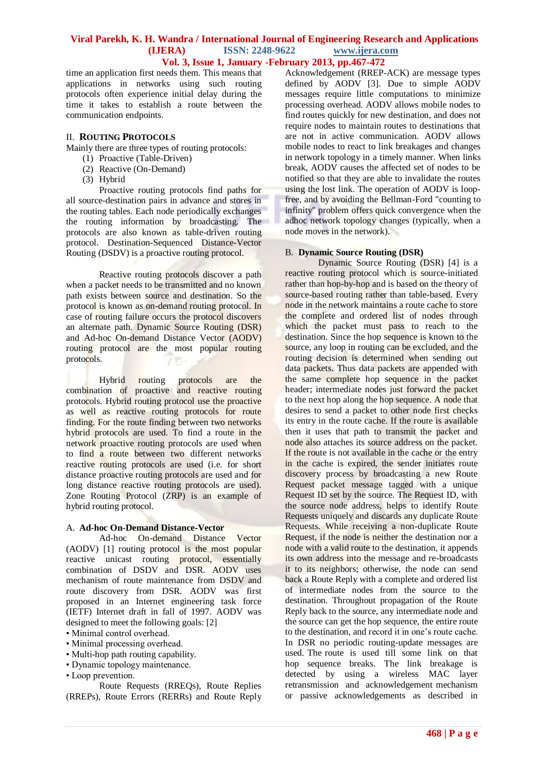time an application first needs them. This means that applications in networks using such routing protocols often experience initial delay during the time it takes to establish a route between the communication endpoints.

# II. **ROUTING PROTOCOLS**

Mainly there are three types of routing protocols:

- (1) Proactive (Table-Driven)
- (2) Reactive (On-Demand)
- (3) Hybrid

Proactive routing protocols find paths for all source-destination pairs in advance and stores in the routing tables. Each node periodically exchanges the routing information by broadcasting. The protocols are also known as table-driven routing protocol. Destination-Sequenced Distance-Vector Routing (DSDV) is a proactive routing protocol.

Reactive routing protocols discover a path when a packet needs to be transmitted and no known path exists between source and destination. So the protocol is known as on-demand routing protocol. In case of routing failure occurs the protocol discovers an alternate path. Dynamic Source Routing (DSR) and Ad-hoc On-demand Distance Vector (AODV) routing protocol are the most popular routing protocols.

Hybrid routing protocols are the combination of proactive and reactive routing protocols. Hybrid routing protocol use the proactive as well as reactive routing protocols for route finding. For the route finding between two networks hybrid protocols are used. To find a route in the network proactive routing protocols are used when to find a route between two different networks reactive routing protocols are used (i.e. for short distance proactive routing protocols are used and for long distance reactive routing protocols are used). Zone Routing Protocol (ZRP) is an example of hybrid routing protocol.

# A. **Ad-hoc On-Demand Distance-Vector**

Ad-hoc On-demand Distance Vector (AODV) [1] routing protocol is the most popular reactive unicast routing protocol, essentially combination of DSDV and DSR. AODV uses mechanism of route maintenance from DSDV and route discovery from DSR. AODV was first proposed in an Internet engineering task force (IETF) Internet draft in fall of 1997. AODV was designed to meet the following goals: [2]

- Minimal control overhead.
- Minimal processing overhead.
- Multi-hop path routing capability.
- Dynamic topology maintenance.
- Loop prevention.

Route Requests (RREQs), Route Replies (RREPs), Route Errors (RERRs) and Route Reply Acknowledgement (RREP-ACK) are message types defined by AODV [3]. Due to simple AODV messages require little computations to minimize processing overhead. AODV allows mobile nodes to find routes quickly for new destination, and does not require nodes to maintain routes to destinations that are not in active communication. AODV allows mobile nodes to react to link breakages and changes in network topology in a timely manner. When links break, AODV causes the affected set of nodes to be notified so that they are able to invalidate the routes using the lost link. The operation of AODV is loopfree, and by avoiding the Bellman-Ford "counting to infinity" problem offers quick convergence when the adhoc network topology changes (typically, when a node moves in the network).

#### B. **Dynamic Source Routing (DSR)**

Dynamic Source Routing (DSR) [4] is a reactive routing protocol which is source-initiated rather than hop-by-hop and is based on the theory of source-based routing rather than table-based. Every node in the network maintains a route cache to store the complete and ordered list of nodes through which the packet must pass to reach to the destination. Since the hop sequence is known to the source, any loop in routing can be excluded, and the routing decision is determined when sending out data packets. Thus data packets are appended with the same complete hop sequence in the packet header; intermediate nodes just forward the packet to the next hop along the hop sequence. A node that desires to send a packet to other node first checks its entry in the route cache. If the route is available then it uses that path to transmit the packet and node also attaches its source address on the packet. If the route is not available in the cache or the entry in the cache is expired, the sender initiates route discovery process by broadcasting a new Route Request packet message tagged with a unique Request ID set by the source. The Request ID, with the source node address, helps to identify Route Requests uniquely and discards any duplicate Route Requests. While receiving a non-duplicate Route Request, if the node is neither the destination nor a node with a valid route to the destination, it appends its own address into the message and re-broadcasts it to its neighbors; otherwise, the node can send back a Route Reply with a complete and ordered list of intermediate nodes from the source to the destination. Throughout propagation of the Route Reply back to the source, any intermediate node and the source can get the hop sequence, the entire route to the destination, and record it in one's route cache. In DSR no periodic routing-update messages are used. The route is used till some link on that hop sequence breaks. The link breakage is detected by using a wireless MAC layer retransmission and acknowledgement mechanism or passive acknowledgements as described in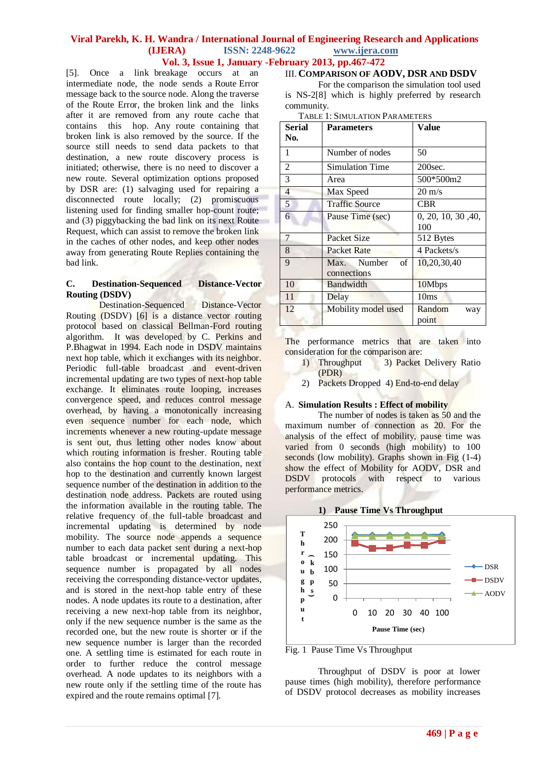[5]. Once a link breakage occurs at an intermediate node, the node sends a Route Error message back to the source node. Along the traverse of the Route Error, the broken link and the links after it are removed from any route cache that contains this hop. Any route containing that broken link is also removed by the source. If the source still needs to send data packets to that destination, a new route discovery process is initiated; otherwise, there is no need to discover a new route. Several optimization options proposed by DSR are: (1) salvaging used for repairing a disconnected route locally; (2) promiscuous listening used for finding smaller hop-count route; and (3) piggybacking the bad link on its next Route Request, which can assist to remove the broken link in the caches of other nodes, and keep other nodes away from generating Route Replies containing the bad link.

# **C. Destination-Sequenced Distance-Vector Routing (DSDV)**

Destination-Sequenced Distance-Vector Routing (DSDV) [6] is a distance vector routing protocol based on classical Bellman-Ford routing algorithm. It was developed by C. Perkins and P.Bhagwat in 1994. Each node in DSDV maintains next hop table, which it exchanges with its neighbor. Periodic full-table broadcast and event-driven incremental updating are two types of next-hop table exchange. It eliminates route looping, increases convergence speed, and reduces control message overhead, by having a monotonically increasing even sequence number for each node, which increments whenever a new routing-update message is sent out, thus letting other nodes know about which routing information is fresher. Routing table also contains the hop count to the destination, next hop to the destination and currently known largest sequence number of the destination in addition to the destination node address. Packets are routed using the information available in the routing table. The relative frequency of the full-table broadcast and incremental updating is determined by node mobility. The source node appends a sequence number to each data packet sent during a next-hop table broadcast or incremental updating. This sequence number is propagated by all nodes receiving the corresponding distance-vector updates, and is stored in the next-hop table entry of these nodes. A node updates its route to a destination, after receiving a new next-hop table from its neighbor, only if the new sequence number is the same as the recorded one, but the new route is shorter or if the new sequence number is larger than the recorded one. A settling time is estimated for each route in order to further reduce the control message overhead. A node updates to its neighbors with a new route only if the settling time of the route has expired and the route remains optimal [7].

# III. **COMPARISON OF AODV, DSR AND DSDV**

For the comparison the simulation tool used is NS-2[8] which is highly preferred by research community.

| <b>TABLE 1: SIMULATION PARAMETERS</b> |
|---------------------------------------|
|                                       |

| Serial<br>No.  | <b>Parameters</b>                | Value                     |
|----------------|----------------------------------|---------------------------|
| 1              | Number of nodes                  | 50                        |
| $\overline{2}$ | <b>Simulation Time</b>           | 200sec.                   |
| 3              | Area                             | 500*500m2                 |
| $\overline{4}$ | Max Speed                        | $20 \text{ m/s}$          |
| 5              | <b>Traffic Source</b>            | <b>CBR</b>                |
| 6              | Pause Time (sec)                 | 0, 20, 10, 30, 40,<br>100 |
| $\overline{7}$ | Packet Size                      | 512 Bytes                 |
| 8              | Packet Rate                      | 4 Packets/s               |
| 9              | Max. Number<br>of<br>connections | 10,20,30,40               |
| 10             | Bandwidth                        | 10Mbps                    |
| 11             | Delay                            | 10ms                      |
| 12             | Mobility model used              | Random<br>way<br>point    |

The performance metrics that are taken into consideration for the comparison are:

- 1) Throughput 3) Packet Delivery Ratio (PDR)
- 2) Packets Dropped 4) End-to-end delay

# A. **Simulation Results : Effect of mobility**

The number of nodes is taken as 50 and the maximum number of connection as 20. For the analysis of the effect of mobility, pause time was varied from 0 seconds (high mobility) to 100 seconds (low mobility). Graphs shown in Fig  $(1-4)$ show the effect of Mobility for AODV, DSR and DSDV protocols with respect to various performance metrics.



**1) Pause Time Vs Throughput**

Fig. 1 Pause Time Vs Throughput

Throughput of DSDV is poor at lower pause times (high mobility), therefore performance of DSDV protocol decreases as mobility increases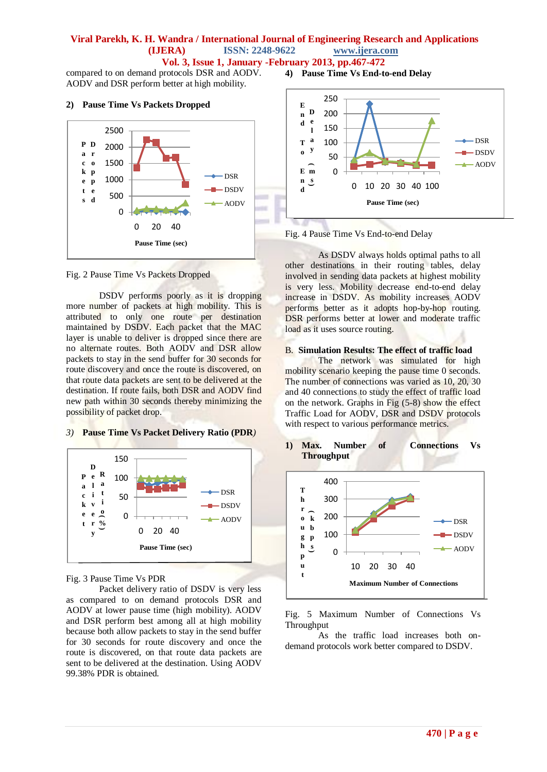compared to on demand protocols DSR and AODV. AODV and DSR perform better at high mobility.

#### **2) Pause Time Vs Packets Dropped**



Fig. 2 Pause Time Vs Packets Dropped

DSDV performs poorly as it is dropping more number of packets at high mobility. This is attributed to only one route per destination maintained by DSDV. Each packet that the MAC layer is unable to deliver is dropped since there are no alternate routes. Both AODV and DSR allow packets to stay in the send buffer for 30 seconds for route discovery and once the route is discovered, on that route data packets are sent to be delivered at the destination. If route fails, both DSR and AODV find new path within 30 seconds thereby minimizing the possibility of packet drop.

# *3)* **Pause Time Vs Packet Delivery Ratio (PDR***)*



#### Fig. 3 Pause Time Vs PDR

Packet delivery ratio of DSDV is very less as compared to on demand protocols DSR and AODV at lower pause time (high mobility). AODV and DSR perform best among all at high mobility because both allow packets to stay in the send buffer for 30 seconds for route discovery and once the route is discovered, on that route data packets are sent to be delivered at the destination. Using AODV 99.38% PDR is obtained.

**4) Pause Time Vs End-to-end Delay**





As DSDV always holds optimal paths to all other destinations in their routing tables, delay involved in sending data packets at highest mobility is very less. Mobility decrease end-to-end delay increase in DSDV. As mobility increases AODV performs better as it adopts hop-by-hop routing. DSR performs better at lower and moderate traffic load as it uses source routing.

#### B. **Simulation Results: The effect of traffic load**

The network was simulated for high mobility scenario keeping the pause time 0 seconds. The number of connections was varied as 10, 20, 30 and 40 connections to study the effect of traffic load on the network. Graphs in Fig (5-8) show the effect Traffic Load for AODV, DSR and DSDV protocols with respect to various performance metrics.

**1) Max. Number of Connections Vs Throughput**



Fig. 5 Maximum Number of Connections Vs Throughput

As the traffic load increases both ondemand protocols work better compared to DSDV.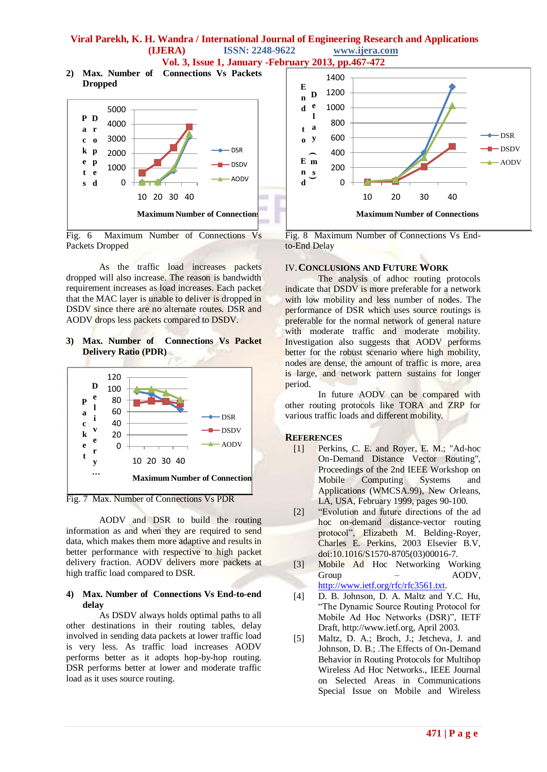# **Viral Parekh, K. H. Wandra / International Journal of Engineering Research and Applications (IJERA) ISSN: 2248-9622 www.ijera.com**

**Vol. 3, Issue 1, January -February 2013, pp.467-472**

**2) Max. Number of Connections Vs Packets Dropped**



Fig. 6 Maximum Number of Connections Vs Packets Dropped

As the traffic load increases packets dropped will also increase. The reason is bandwidth requirement increases as load increases. Each packet that the MAC layer is unable to deliver is dropped in DSDV since there are no alternate routes. DSR and AODV drops less packets compared to DSDV.

**3) Max. Number of Connections Vs Packet Delivery Ratio (PDR)**



Fig. 7 Max. Number of Connections Vs PDR

AODV and DSR to build the routing information as and when they are required to send data, which makes them more adaptive and results in better performance with respective to high packet delivery fraction. AODV delivers more packets at high traffic load compared to DSR.

# **4) Max. Number of Connections Vs End-to-end delay**

As DSDV always holds optimal paths to all other destinations in their routing tables, delay involved in sending data packets at lower traffic load is very less. As traffic load increases AODV performs better as it adopts hop-by-hop routing. DSR performs better at lower and moderate traffic load as it uses source routing.



Fig. 8 Maximum Number of Connections Vs Endto-End Delay

# IV.**CONCLUSIONS AND FUTURE WORK**

The analysis of adhoc routing protocols indicate that DSDV is more preferable for a network with low mobility and less number of nodes. The performance of DSR which uses source routings is preferable for the normal network of general nature with moderate traffic and moderate mobility. Investigation also suggests that AODV performs better for the robust scenario where high mobility, nodes are dense, the amount of traffic is more, area is large, and network pattern sustains for longer period.

In future AODV can be compared with other routing protocols like TORA and ZRP for various traffic loads and different mobility.

# **REFERENCES**

- [1] Perkins, C. E. and Royer, E. M.; "Ad-hoc On-Demand Distance Vector Routing", Proceedings of the 2nd IEEE Workshop on Mobile Computing Systems and Applications (WMCSA.99), New Orleans, LA, USA, February 1999, pages 90-100.
- [2] "Evolution and future directions of the ad hoc on-demand distance-vector routing protocol", Elizabeth M. Belding-Royer, Charles E. Perkins, 2003 Elsevier B.V, doi:10.1016/S1570-8705(03)00016-7.
- [3] Mobile Ad Hoc Networking Working Group – AODV, [http://www.ietf.org/rfc/rfc3561.txt.](http://www.ietf.org/rfc/rfc3561.txt)
- [4] D. B. Johnson, D. A. Maltz and Y.C. Hu, "The Dynamic Source Routing Protocol for Mobile Ad Hoc Networks (DSR)", IETF Draft, http://www.ietf.org, April 2003.
- [5] Maltz, D. A.; Broch, J.; Jetcheva, J. and Johnson, D. B.; .The Effects of On-Demand Behavior in Routing Protocols for Multihop Wireless Ad Hoc Networks., IEEE Journal on Selected Areas in Communications Special Issue on Mobile and Wireless